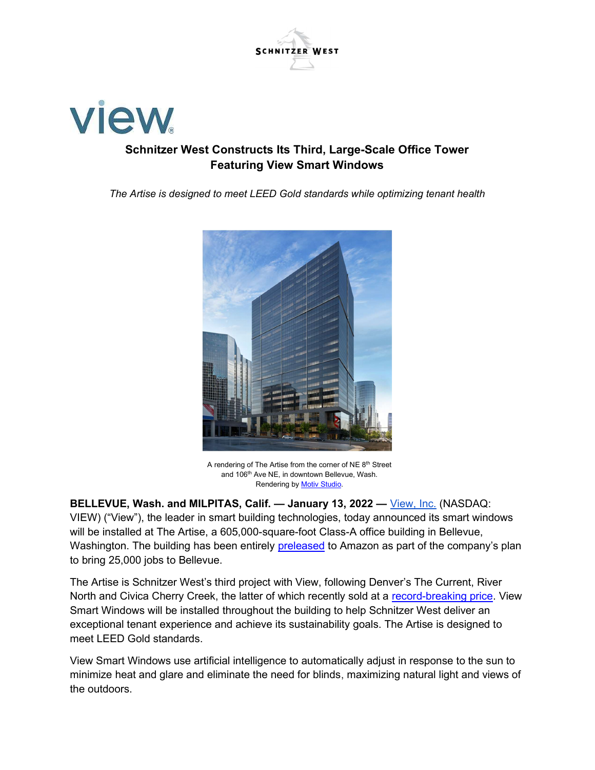



## Schnitzer West Constructs Its Third, Large-Scale Office Tower Featuring View Smart Windows

The Artise is designed to meet LEED Gold standards while optimizing tenant health



A rendering of The Artise from the corner of NE 8<sup>th</sup> Street and 106<sup>th</sup> Ave NE, in downtown Bellevue, Wash. Rendering by Motiv Studio.

BELLEVUE, Wash. and MILPITAS, Calif. — January 13, 2022 — View, Inc. (NASDAQ: VIEW) ("View"), the leader in smart building technologies, today announced its smart windows will be installed at The Artise, a 605,000-square-foot Class-A office building in Bellevue, Washington. The building has been entirely preleased to Amazon as part of the company's plan to bring 25,000 jobs to Bellevue.

The Artise is Schnitzer West's third project with View, following Denver's The Current, River North and Civica Cherry Creek, the latter of which recently sold at a record-breaking price. View Smart Windows will be installed throughout the building to help Schnitzer West deliver an exceptional tenant experience and achieve its sustainability goals. The Artise is designed to meet LEED Gold standards.

View Smart Windows use artificial intelligence to automatically adjust in response to the sun to minimize heat and glare and eliminate the need for blinds, maximizing natural light and views of the outdoors.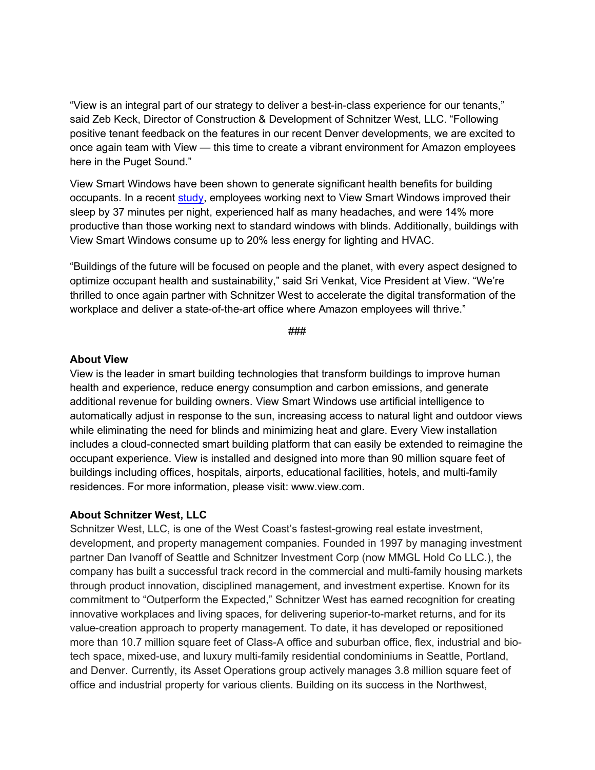"View is an integral part of our strategy to deliver a best-in-class experience for our tenants," said Zeb Keck, Director of Construction & Development of Schnitzer West, LLC. "Following positive tenant feedback on the features in our recent Denver developments, we are excited to once again team with View — this time to create a vibrant environment for Amazon employees here in the Puget Sound."

View Smart Windows have been shown to generate significant health benefits for building occupants. In a recent study, employees working next to View Smart Windows improved their sleep by 37 minutes per night, experienced half as many headaches, and were 14% more productive than those working next to standard windows with blinds. Additionally, buildings with View Smart Windows consume up to 20% less energy for lighting and HVAC.

"Buildings of the future will be focused on people and the planet, with every aspect designed to optimize occupant health and sustainability," said Sri Venkat, Vice President at View. "We're thrilled to once again partner with Schnitzer West to accelerate the digital transformation of the workplace and deliver a state-of-the-art office where Amazon employees will thrive."

###

### About View

View is the leader in smart building technologies that transform buildings to improve human health and experience, reduce energy consumption and carbon emissions, and generate additional revenue for building owners. View Smart Windows use artificial intelligence to automatically adjust in response to the sun, increasing access to natural light and outdoor views while eliminating the need for blinds and minimizing heat and glare. Every View installation includes a cloud-connected smart building platform that can easily be extended to reimagine the occupant experience. View is installed and designed into more than 90 million square feet of buildings including offices, hospitals, airports, educational facilities, hotels, and multi-family residences. For more information, please visit: www.view.com.

### About Schnitzer West, LLC

Schnitzer West, LLC, is one of the West Coast's fastest-growing real estate investment, development, and property management companies. Founded in 1997 by managing investment partner Dan Ivanoff of Seattle and Schnitzer Investment Corp (now MMGL Hold Co LLC.), the company has built a successful track record in the commercial and multi-family housing markets through product innovation, disciplined management, and investment expertise. Known for its commitment to "Outperform the Expected," Schnitzer West has earned recognition for creating innovative workplaces and living spaces, for delivering superior-to-market returns, and for its value-creation approach to property management. To date, it has developed or repositioned more than 10.7 million square feet of Class-A office and suburban office, flex, industrial and biotech space, mixed-use, and luxury multi-family residential condominiums in Seattle, Portland, and Denver. Currently, its Asset Operations group actively manages 3.8 million square feet of office and industrial property for various clients. Building on its success in the Northwest,